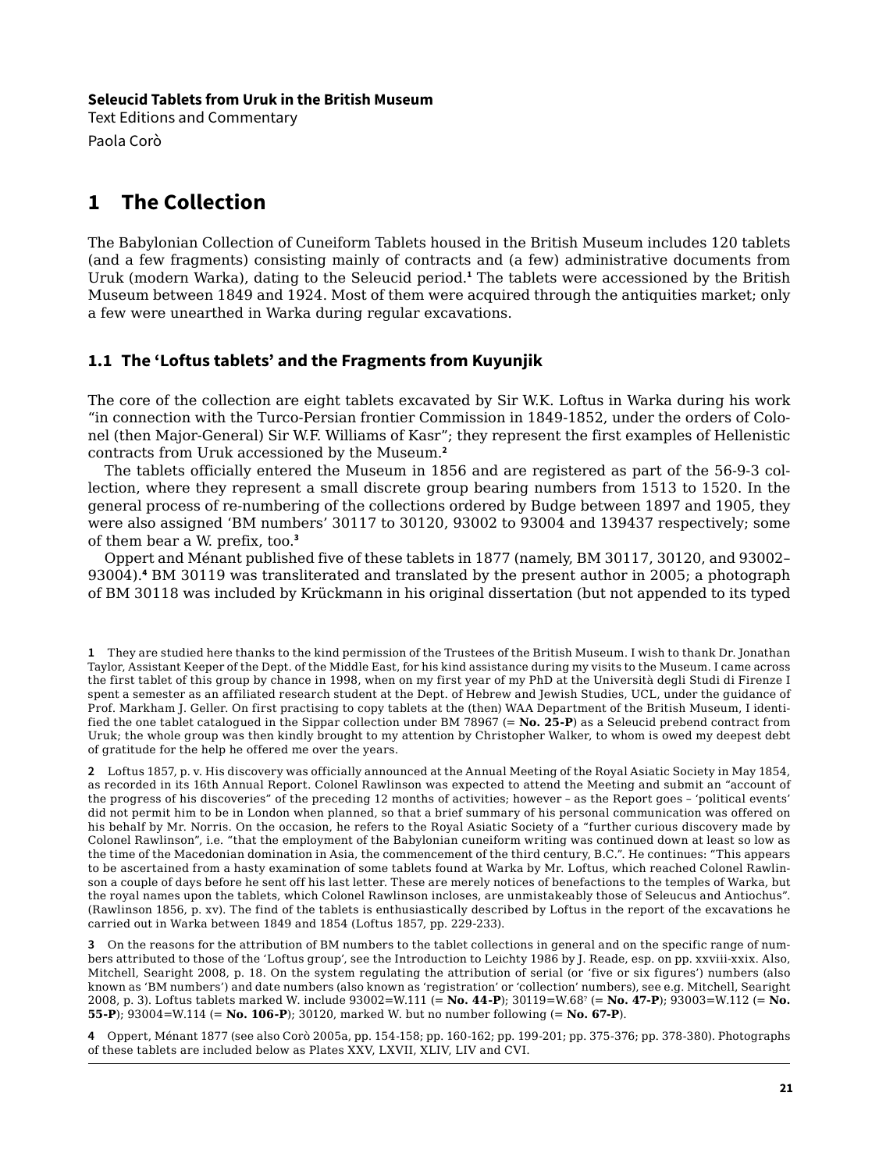#### **Seleucid Tablets from Uruk in the British Museum**

Text Editions and Commentary Paola Corò

# **1 The Collection**

The Babylonian Collection of Cuneiform Tablets housed in the British Museum includes 120 tablets (and a few fragments) consisting mainly of contracts and (a few) administrative documents from Uruk (modern Warka), dating to the Seleucid period.**<sup>1</sup>** The tablets were accessioned by the British Museum between 1849 and 1924. Most of them were acquired through the antiquities market; only a few were unearthed in Warka during regular excavations.

# **1.1 The 'Loftus tablets' and the Fragments from Kuyunjik**

The core of the collection are eight tablets excavated by Sir W.K. Loftus in Warka during his work "in connection with the Turco-Persian frontier Commission in 1849-1852, under the orders of Colonel (then Major-General) Sir W.F. Williams of Kasr"; they represent the first examples of Hellenistic contracts from Uruk accessioned by the Museum.**<sup>2</sup>**

The tablets officially entered the Museum in 1856 and are registered as part of the 56-9-3 collection, where they represent a small discrete group bearing numbers from 1513 to 1520. In the general process of re-numbering of the collections ordered by Budge between 1897 and 1905, they were also assigned 'BM numbers' 30117 to 30120, 93002 to 93004 and 139437 respectively; some of them bear a W. prefix, too.**<sup>3</sup>**

Oppert and Ménant published five of these tablets in 1877 (namely, BM 30117, 30120, and 93002– 93004).**<sup>4</sup>** BM 30119 was transliterated and translated by the present author in 2005; a photograph of BM 30118 was included by Krückmann in his original dissertation (but not appended to its typed

**1** They are studied here thanks to the kind permission of the Trustees of the British Museum. I wish to thank Dr. Jonathan Taylor, Assistant Keeper of the Dept. of the Middle East, for his kind assistance during my visits to the Museum. I came across the first tablet of this group by chance in 1998, when on my first year of my PhD at the Università degli Studi di Firenze I spent a semester as an affiliated research student at the Dept. of Hebrew and Jewish Studies, UCL, under the guidance of Prof. Markham J. Geller. On first practising to copy tablets at the (then) WAA Department of the British Museum, I identified the one tablet catalogued in the Sippar collection under BM 78967 (= **No. 25-P**) as a Seleucid prebend contract from Uruk; the whole group was then kindly brought to my attention by Christopher Walker, to whom is owed my deepest debt of gratitude for the help he offered me over the years.

**2** Loftus 1857, p. v. His discovery was officially announced at the Annual Meeting of the Royal Asiatic Society in May 1854, as recorded in its 16th Annual Report. Colonel Rawlinson was expected to attend the Meeting and submit an "account of the progress of his discoveries" of the preceding 12 months of activities; however – as the Report goes – 'political events' did not permit him to be in London when planned, so that a brief summary of his personal communication was offered on his behalf by Mr. Norris. On the occasion, he refers to the Royal Asiatic Society of a "further curious discovery made by Colonel Rawlinson", i.e. "that the employment of the Babylonian cuneiform writing was continued down at least so low as the time of the Macedonian domination in Asia, the commencement of the third century, B.C.". He continues: "This appears to be ascertained from a hasty examination of some tablets found at Warka by Mr. Loftus, which reached Colonel Rawlinson a couple of days before he sent off his last letter. These are merely notices of benefactions to the temples of Warka, but the royal names upon the tablets, which Colonel Rawlinson incloses, are unmistakeably those of Seleucus and Antiochus". (Rawlinson 1856, p. xv). The find of the tablets is enthusiastically described by Loftus in the report of the excavations he carried out in Warka between 1849 and 1854 (Loftus 1857, pp. 229-233).

**3** On the reasons for the attribution of BM numbers to the tablet collections in general and on the specific range of numbers attributed to those of the 'Loftus group', see the Introduction to Leichty 1986 by J. Reade, esp. on pp. xxviii-xxix. Also, Mitchell, Searight 2008, p. 18. On the system regulating the attribution of serial (or 'five or six figures') numbers (also known as 'BM numbers') and date numbers (also known as 'registration' or 'collection' numbers), see e.g. Mitchell, Searight 2008, p. 3). Loftus tablets marked W. include 93002=W.111 (= **No. 44-P**); 30119=W.68? (= **No. 47-P**); 93003=W.112 (= **No. 55-P**); 93004=W.114 (= **No. 106-P**); 30120, marked W. but no number following (= **No. 67-P**).

**4** Oppert, Ménant 1877 (see also Corò 2005a, pp. 154-158; pp. 160-162; pp. 199-201; pp. 375-376; pp. 378-380). Photographs of these tablets are included below as Plates XXV, LXVII, XLIV, LIV and CVI.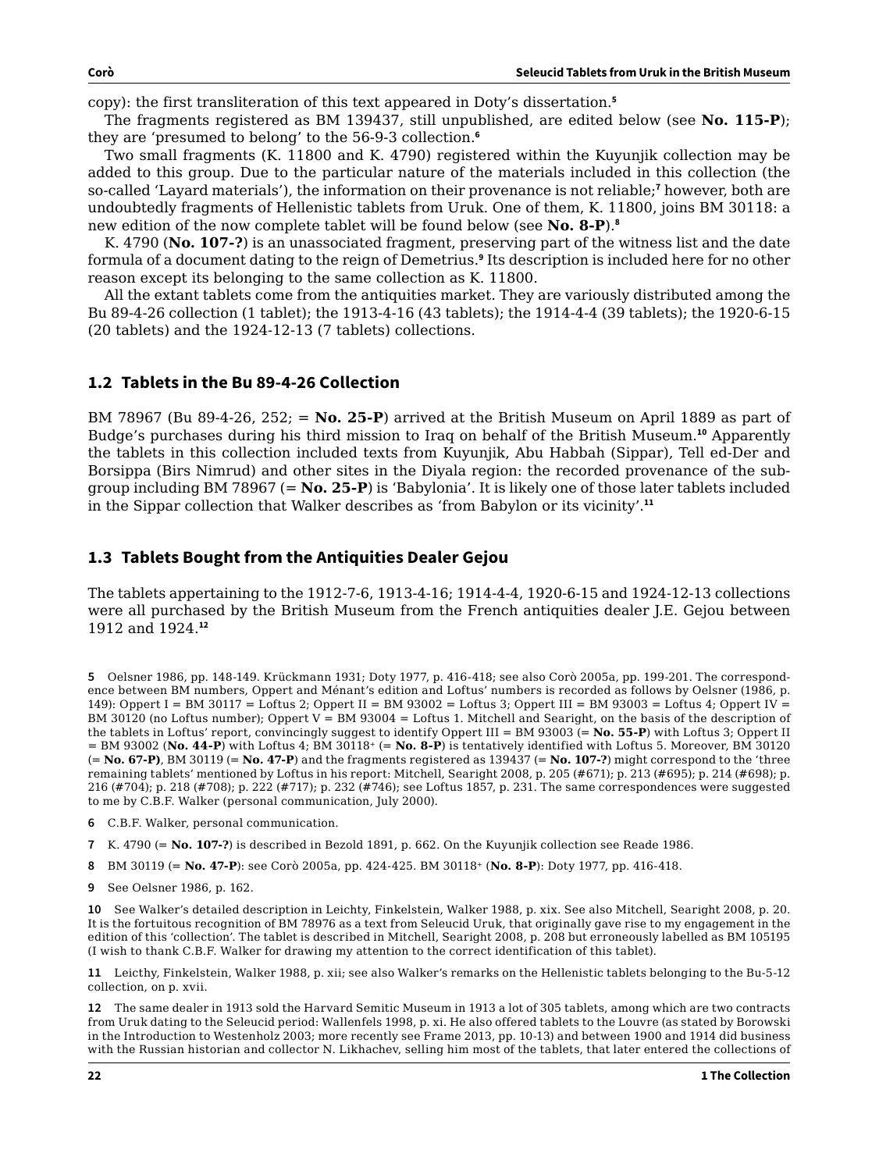copy): the first transliteration of this text appeared in Doty's dissertation.**<sup>5</sup>**

The fragments registered as BM 139437, still unpublished, are edited below (see **No. 115-P**); they are 'presumed to belong' to the 56-9-3 collection.**<sup>6</sup>**

Two small fragments (K. 11800 and K. 4790) registered within the Kuyunjik collection may be added to this group. Due to the particular nature of the materials included in this collection (the so-called 'Layard materials'), the information on their provenance is not reliable;**<sup>7</sup>** however, both are undoubtedly fragments of Hellenistic tablets from Uruk. One of them, K. 11800, joins BM 30118: a new edition of the now complete tablet will be found below (see **No. 8-P**).**<sup>8</sup>**

K. 4790 (**No. 107-?**) is an unassociated fragment, preserving part of the witness list and the date formula of a document dating to the reign of Demetrius.**<sup>9</sup>** Its description is included here for no other reason except its belonging to the same collection as K. 11800.

All the extant tablets come from the antiquities market. They are variously distributed among the Bu 89-4-26 collection (1 tablet); the 1913-4-16 (43 tablets); the 1914-4-4 (39 tablets); the 1920-6-15 (20 tablets) and the 1924-12-13 (7 tablets) collections.

#### **1.2 Tablets in the Bu 89-4-26 Collection**

BM 78967 (Bu 89-4-26, 252; = **No. 25-P**) arrived at the British Museum on April 1889 as part of Budge's purchases during his third mission to Iraq on behalf of the British Museum.**<sup>10</sup>** Apparently the tablets in this collection included texts from Kuyunjik, Abu Habbah (Sippar), Tell ed-Der and Borsippa (Birs Nimrud) and other sites in the Diyala region: the recorded provenance of the subgroup including BM 78967 (= **No. 25-P**) is 'Babylonia'. It is likely one of those later tablets included in the Sippar collection that Walker describes as 'from Babylon or its vicinity'.**<sup>11</sup>**

## **1.3 Tablets Bought from the Antiquities Dealer Gejou**

The tablets appertaining to the 1912-7-6, 1913-4-16; 1914-4-4, 1920-6-15 and 1924-12-13 collections were all purchased by the British Museum from the French antiquities dealer J.E. Gejou between 1912 and 1924.**<sup>12</sup>**

**5** Oelsner 1986, pp. 148-149. Krückmann 1931; Doty 1977, p. 416-418; see also Corò 2005a, pp. 199-201. The correspondence between BM numbers, Oppert and Ménant's edition and Loftus' numbers is recorded as follows by Oelsner (1986, p. 149): Oppert I = BM 30117 = Loftus 2; Oppert II = BM 93002 = Loftus 3; Oppert III = BM 93003 = Loftus 4; Oppert IV = BM 30120 (no Loftus number); Oppert  $V = BM 93004 = Loftus 1$ . Mitchell and Searight, on the basis of the description of the tablets in Loftus' report, convincingly suggest to identify Oppert III = BM 93003 (= **No. 55-P**) with Loftus 3; Oppert II = BM 93002 (**No. 44-P**) with Loftus 4; BM 30118+ (= **No. 8-P**) is tentatively identified with Loftus 5. Moreover, BM 30120 (= **No. 67-P)**, BM 30119 (= **No. 47-P**) and the fragments registered as 139437 (= **No. 107-?**) might correspond to the 'three remaining tablets' mentioned by Loftus in his report: Mitchell, Searight 2008, p. 205 (#671); p. 213 (#695); p. 214 (#698); p. 216 (#704); p. 218 (#708); p. 222 (#717); p. 232 (#746); see Loftus 1857, p. 231. The same correspondences were suggested to me by C.B.F. Walker (personal communication, July 2000).

- **6** C.B.F. Walker, personal communication.
- **7** K. 4790 (= **No. 107-?**) is described in Bezold 1891, p. 662. On the Kuyunjik collection see Reade 1986.
- **8** BM 30119 (= **No. 47-P**): see Corò 2005a, pp. 424-425. BM 30118+ (**No. 8-P**): Doty 1977, pp. 416-418.
- **9** See Oelsner 1986, p. 162.

**10** See Walker's detailed description in Leichty, Finkelstein, Walker 1988, p. xix. See also Mitchell, Searight 2008, p. 20. It is the fortuitous recognition of BM 78976 as a text from Seleucid Uruk, that originally gave rise to my engagement in the edition of this 'collection'. The tablet is described in Mitchell, Searight 2008, p. 208 but erroneously labelled as BM 105195 (I wish to thank C.B.F. Walker for drawing my attention to the correct identification of this tablet).

**11** Leicthy, Finkelstein, Walker 1988, p. xii; see also Walker's remarks on the Hellenistic tablets belonging to the Bu-5-12 collection, on p. xvii.

**12** The same dealer in 1913 sold the Harvard Semitic Museum in 1913 a lot of 305 tablets, among which are two contracts from Uruk dating to the Seleucid period: Wallenfels 1998, p. xi. He also offered tablets to the Louvre (as stated by Borowski in the Introduction to Westenholz 2003; more recently see Frame 2013, pp. 10-13) and between 1900 and 1914 did business with the Russian historian and collector N. Likhachev, selling him most of the tablets, that later entered the collections of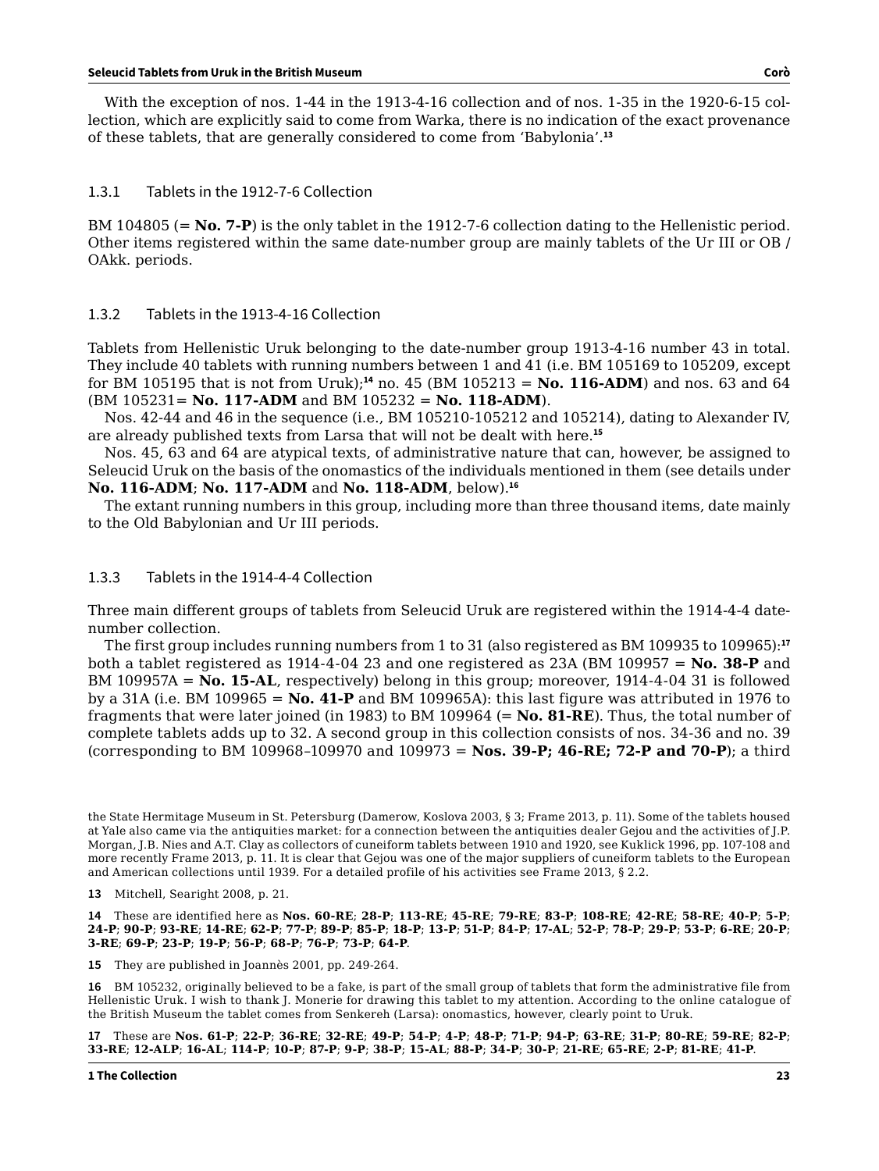With the exception of nos. 1-44 in the 1913-4-16 collection and of nos. 1-35 in the 1920-6-15 collection, which are explicitly said to come from Warka, there is no indication of the exact provenance of these tablets, that are generally considered to come from 'Babylonia'.**<sup>13</sup>**

#### 1.3.1 Tablets in the 1912-7-6 Collection

BM 104805 (= **No. 7-P**) is the only tablet in the 1912-7-6 collection dating to the Hellenistic period. Other items registered within the same date-number group are mainly tablets of the Ur III or OB / OAkk. periods.

#### 1.3.2 Tablets in the 1913-4-16 Collection

Tablets from Hellenistic Uruk belonging to the date-number group 1913-4-16 number 43 in total. They include 40 tablets with running numbers between 1 and 41 (i.e. BM 105169 to 105209, except for BM 105195 that is not from Uruk);**<sup>14</sup>** no. 45 (BM 105213 = **No. 116-ADM**) and nos. 63 and 64 (BM 105231= **No. 117-ADM** and BM 105232 = **No. 118-ADM**).

Nos. 42-44 and 46 in the sequence (i.e., BM 105210-105212 and 105214), dating to Alexander IV, are already published texts from Larsa that will not be dealt with here.**<sup>15</sup>**

Nos. 45, 63 and 64 are atypical texts, of administrative nature that can, however, be assigned to Seleucid Uruk on the basis of the onomastics of the individuals mentioned in them (see details under **No. 116-ADM**; **No. 117-ADM** and **No. 118-ADM**, below).**<sup>16</sup>**

The extant running numbers in this group, including more than three thousand items, date mainly to the Old Babylonian and Ur III periods.

#### 1.3.3 Tablets in the 1914-4-4 Collection

Three main different groups of tablets from Seleucid Uruk are registered within the 1914-4-4 datenumber collection.

The first group includes running numbers from 1 to 31 (also registered as BM 109935 to 109965):**<sup>17</sup>** both a tablet registered as 1914-4-04 23 and one registered as 23A (BM 109957 = **No. 38-P** and BM 109957A = **No. 15-AL**, respectively) belong in this group; moreover, 1914-4-04 31 is followed by a 31A (i.e. BM 109965 = **No. 41-P** and BM 109965A): this last figure was attributed in 1976 to fragments that were later joined (in 1983) to BM 109964 (= **No. 81-RE**). Thus, the total number of complete tablets adds up to 32. A second group in this collection consists of nos. 34-36 and no. 39 (corresponding to BM 109968–109970 and 109973 = **Nos. 39-P; 46-RE; 72-P and 70-P**); a third

**15** They are published in Joannès 2001, pp. 249-264.

**16** BM 105232, originally believed to be a fake, is part of the small group of tablets that form the administrative file from Hellenistic Uruk. I wish to thank J. Monerie for drawing this tablet to my attention. According to the online catalogue of the British Museum the tablet comes from Senkereh (Larsa): onomastics, however, clearly point to Uruk.

**17** These are **Nos. 61-P**; **22-P**; **36-RE**; **32-RE**; **49-P**; **54-P**; **4-P**; **48-P**; **71-P**; **94-P**; **63-RE**; **31-P**; **80-RE**; **59-RE**; **82-P**; 33-RE; 12-ALP; 16-AL; 114-P; 10-P; 87-P; 9-P; 38-P; 15-AL; 88-P; 34-P; 30-P; 21-RE; 65-RE; 2-P; 81-RE; 41-P.

the State Hermitage Museum in St. Petersburg (Damerow, Koslova 2003, § 3; Frame 2013, p. 11). Some of the tablets housed at Yale also came via the antiquities market: for a connection between the antiquities dealer Gejou and the activities of J.P. Morgan, J.B. Nies and A.T. Clay as collectors of cuneiform tablets between 1910 and 1920, see Kuklick 1996, pp. 107-108 and more recently Frame 2013, p. 11. It is clear that Gejou was one of the major suppliers of cuneiform tablets to the European and American collections until 1939. For a detailed profile of his activities see Frame 2013, § 2.2.

**<sup>13</sup>** Mitchell, Searight 2008, p. 21.

**<sup>14</sup>** These are identified here as **Nos. 60-RE**; **28-P**; **113-RE**; **45-RE**; **79-RE**; **83-P**; **108-RE**; **42-RE**; **58-RE**; **40-P**; **5-P**; 24-P; 90-P; 93-RE; 14-RE; 62-P; 77-P; 89-P; 85-P; 18-P; 13-P; 51-P; 84-P; 17-AL; 52-P; 78-P; 29-P; 53-P; 6-RE; 20-P; **3-RE**; **69-P**; **23-P**; **19-P**; **56-P**; **68-P**; **76-P**; **73-P**; **64-P**.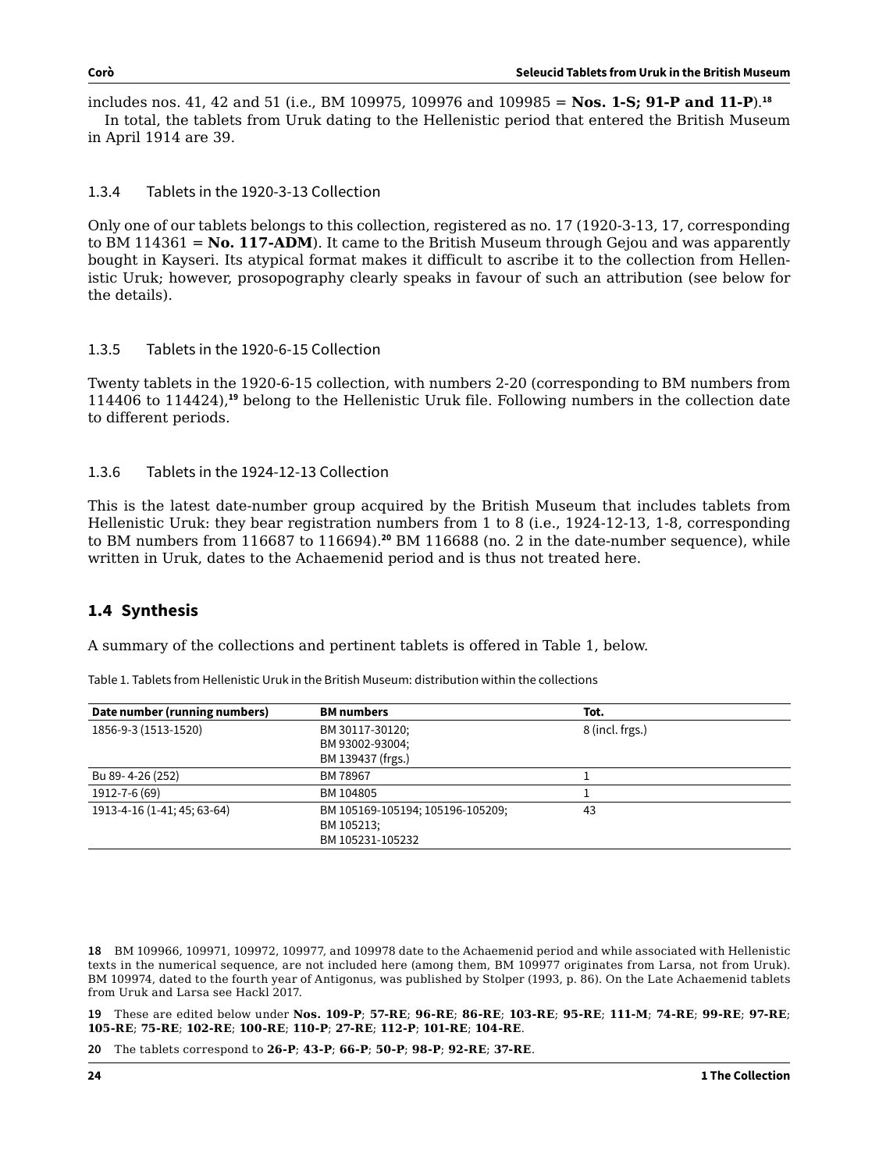includes nos. 41, 42 and 51 (i.e., BM 109975, 109976 and 109985 = **Nos. 1-S; 91-P and 11-P**).**<sup>18</sup>** In total, the tablets from Uruk dating to the Hellenistic period that entered the British Museum in April 1914 are 39.

1.3.4 Tablets in the 1920-3-13 Collection

Only one of our tablets belongs to this collection, registered as no. 17 (1920-3-13, 17, corresponding to BM 114361 = **No. 117-ADM**). It came to the British Museum through Gejou and was apparently bought in Kayseri. Its atypical format makes it difficult to ascribe it to the collection from Hellenistic Uruk; however, prosopography clearly speaks in favour of such an attribution (see below for the details).

## 1.3.5 Tablets in the 1920-6-15 Collection

Twenty tablets in the 1920-6-15 collection, with numbers 2-20 (corresponding to BM numbers from 114406 to 114424),**<sup>19</sup>** belong to the Hellenistic Uruk file. Following numbers in the collection date to different periods.

## 1.3.6 Tablets in the 1924-12-13 Collection

This is the latest date-number group acquired by the British Museum that includes tablets from Hellenistic Uruk: they bear registration numbers from 1 to 8 (i.e., 1924-12-13, 1-8, corresponding to BM numbers from 116687 to 116694).**<sup>20</sup>** BM 116688 (no. 2 in the date-number sequence), while written in Uruk, dates to the Achaemenid period and is thus not treated here.

# **1.4 Synthesis**

A summary of the collections and pertinent tablets is offered in Table 1, below.

| Date number (running numbers) | <b>BM</b> numbers                | Tot.            |
|-------------------------------|----------------------------------|-----------------|
| 1856-9-3 (1513-1520)          | BM 30117-30120;                  | 8 (incl. frgs.) |
|                               | BM 93002-93004;                  |                 |
|                               | BM 139437 (frgs.)                |                 |
| Bu 89-4-26 (252)              | BM 78967                         |                 |
| 1912-7-6 (69)                 | BM 104805                        |                 |
| 1913-4-16 (1-41; 45; 63-64)   | BM 105169-105194; 105196-105209; | 43              |
|                               | BM 105213;                       |                 |
|                               | BM 105231-105232                 |                 |

Table 1. Tablets from Hellenistic Uruk in the British Museum: distribution within the collections

**18** BM 109966, 109971, 109972, 109977, and 109978 date to the Achaemenid period and while associated with Hellenistic texts in the numerical sequence, are not included here (among them, BM 109977 originates from Larsa, not from Uruk). BM 109974, dated to the fourth year of Antigonus, was published by Stolper (1993, p. 86). On the Late Achaemenid tablets from Uruk and Larsa see Hackl 2017.

**19** These are edited below under **Nos. 109-P**; **57-RE**; **96-RE**; **86-RE**; **103-RE**; **95-RE**; **111-M**; **74-RE**; **99-RE**; **97-RE**; **105-RE**; **75-RE**; **102-RE**; **100-RE**; **110-P**; **27-RE**; **112-P**; **101-RE**; **104-RE**.

**20** The tablets correspond to **26-P**; **43-P**; **66-P**; **50-P**; **98-P**; **92-RE**; **37-RE**.